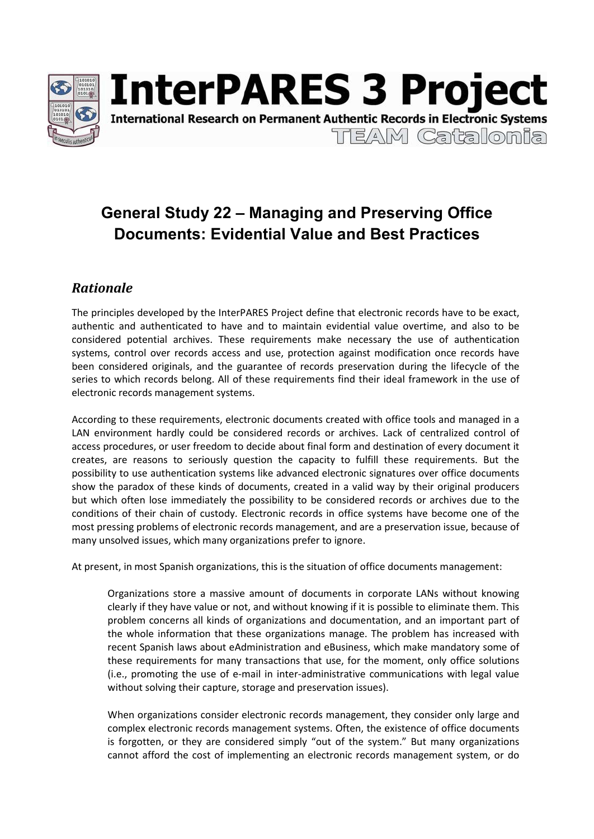

# **General Study 22 – Managing and Preserving Office Documents: Evidential Value and Best Practices**

## *Rationale*

The principles developed by the InterPARES Project define that electronic records have to be exact, authentic and authenticated to have and to maintain evidential value overtime, and also to be considered potential archives. These requirements make necessary the use of authentication systems, control over records access and use, protection against modification once records have been considered originals, and the guarantee of records preservation during the lifecycle of the series to which records belong. All of these requirements find their ideal framework in the use of electronic records management systems.

According to these requirements, electronic documents created with office tools and managed in a LAN environment hardly could be considered records or archives. Lack of centralized control of access procedures, or user freedom to decide about final form and destination of every document it creates, are reasons to seriously question the capacity to fulfill these requirements. But the possibility to use authentication systems like advanced electronic signatures over office documents show the paradox of these kinds of documents, created in a valid way by their original producers but which often lose immediately the possibility to be considered records or archives due to the conditions of their chain of custody. Electronic records in office systems have become one of the most pressing problems of electronic records management, and are a preservation issue, because of many unsolved issues, which many organizations prefer to ignore.

At present, in most Spanish organizations, this is the situation of office documents management:

Organizations store a massive amount of documents in corporate LANs without knowing clearly if they have value or not, and without knowing if it is possible to eliminate them. This problem concerns all kinds of organizations and documentation, and an important part of the whole information that these organizations manage. The problem has increased with recent Spanish laws about eAdministration and eBusiness, which make mandatory some of these requirements for many transactions that use, for the moment, only office solutions (i.e., promoting the use of e-mail in inter-administrative communications with legal value without solving their capture, storage and preservation issues).

When organizations consider electronic records management, they consider only large and complex electronic records management systems. Often, the existence of office documents is forgotten, or they are considered simply "out of the system." But many organizations cannot afford the cost of implementing an electronic records management system, or do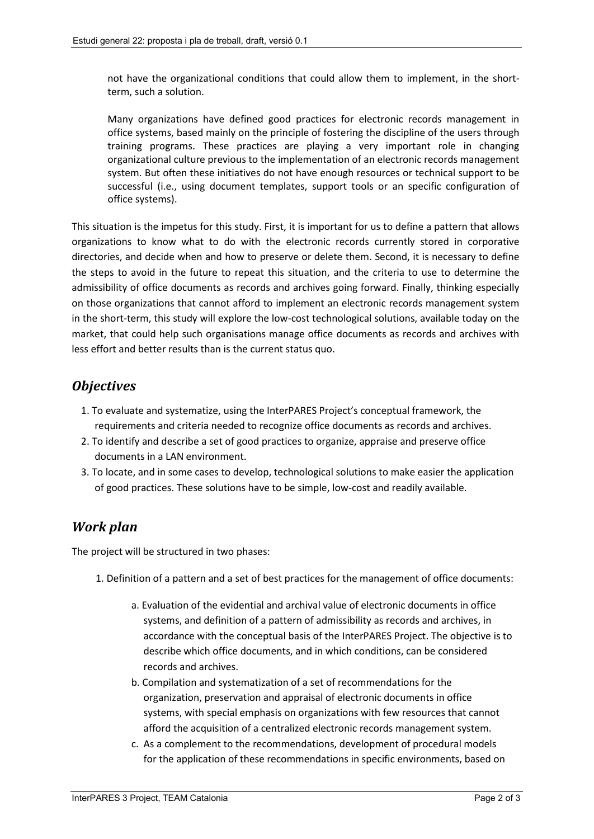not have the organizational conditions that could allow them to implement, in the shortterm, such a solution.

Many organizations have defined good practices for electronic records management in office systems, based mainly on the principle of fostering the discipline of the users through training programs. These practices are playing a very important role in changing organizational culture previous to the implementation of an electronic records management system. But often these initiatives do not have enough resources or technical support to be successful (i.e., using document templates, support tools or an specific configuration of office systems).

This situation is the impetus for this study. First, it is important for us to define a pattern that allows organizations to know what to do with the electronic records currently stored in corporative directories, and decide when and how to preserve or delete them. Second, it is necessary to define the steps to avoid in the future to repeat this situation, and the criteria to use to determine the admissibility of office documents as records and archives going forward. Finally, thinking especially on those organizations that cannot afford to implement an electronic records management system in the short-term, this study will explore the low-cost technological solutions, available today on the market, that could help such organisations manage office documents as records and archives with less effort and better results than is the current status quo.

### *Objectives*

- 1. To evaluate and systematize, using the InterPARES Project's conceptual framework, the requirements and criteria needed to recognize office documents as records and archives.
- 2. To identify and describe a set of good practices to organize, appraise and preserve office documents in a LAN environment.
- 3. To locate, and in some cases to develop, technological solutions to make easier the application of good practices. These solutions have to be simple, low-cost and readily available.

#### *Work plan*

The project will be structured in two phases:

- 1. Definition of a pattern and a set of best practices for the management of office documents:
	- a. Evaluation of the evidential and archival value of electronic documents in office systems, and definition of a pattern of admissibility as records and archives, in accordance with the conceptual basis of the InterPARES Project. The objective is to describe which office documents, and in which conditions, can be considered records and archives.
	- b. Compilation and systematization of a set of recommendations for the organization, preservation and appraisal of electronic documents in office systems, with special emphasis on organizations with few resources that cannot afford the acquisition of a centralized electronic records management system.
	- c. As a complement to the recommendations, development of procedural models for the application of these recommendations in specific environments, based on